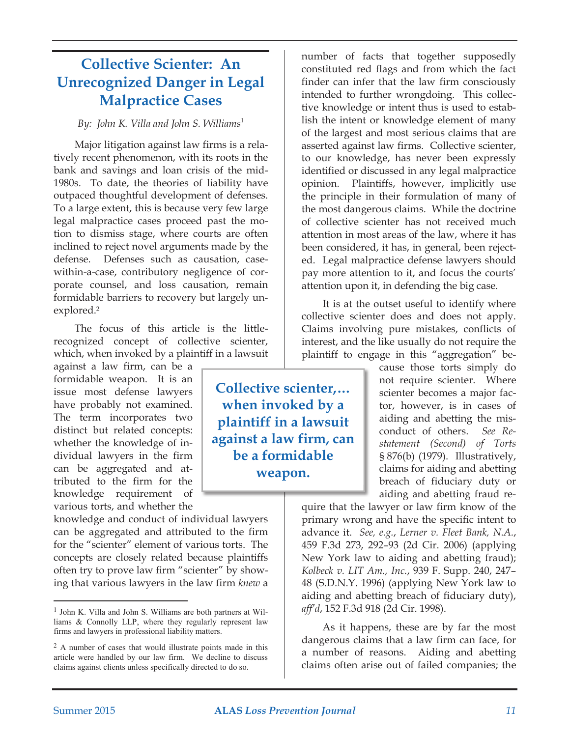# **Collective Scienter: An Unrecognized Danger in Legal Malpractice Cases**

#### *By: John K. Villa and John S. Williams*

Major litigation against law firms is a relatively recent phenomenon, with its roots in the bank and savings and loan crisis of the mid-1980s. To date, the theories of liability have outpaced thoughtful development of defenses. To a large extent, this is because very few large legal malpractice cases proceed past the motion to dismiss stage, where courts are often inclined to reject novel arguments made by the defense. Defenses such as causation, casewithin-a-case, contributory negligence of corporate counsel, and loss causation, remain formidable barriers to recovery but largely unexplored.2

The focus of this article is the littlerecognized concept of collective scienter, which, when invoked by a plaintiff in a lawsuit

against a law firm, can be a formidable weapon. It is an issue most defense lawyers have probably not examined. The term incorporates two distinct but related concepts: whether the knowledge of individual lawyers in the firm can be aggregated and attributed to the firm for the knowledge requirement of various torts, and whether the

<u> 1989 - Johann Barn, mars ar breithinn ar chuid ann an t-</u>

knowledge and conduct of individual lawyers can be aggregated and attributed to the firm for the "scienter" element of various torts. The concepts are closely related because plaintiffs often try to prove law firm "scienter" by showing that various lawyers in the law firm *knew* a

number of facts that together supposedly constituted red flags and from which the fact finder can infer that the law firm consciously intended to further wrongdoing. This collective knowledge or intent thus is used to establish the intent or knowledge element of many of the largest and most serious claims that are asserted against law firms. Collective scienter, to our knowledge, has never been expressly identified or discussed in any legal malpractice opinion. Plaintiffs, however, implicitly use the principle in their formulation of many of the most dangerous claims. While the doctrine of collective scienter has not received much attention in most areas of the law, where it has been considered, it has, in general, been rejected. Legal malpractice defense lawyers should pay more attention to it, and focus the courts' attention upon it, in defending the big case.

It is at the outset useful to identify where collective scienter does and does not apply. Claims involving pure mistakes, conflicts of interest, and the like usually do not require the plaintiff to engage in this "aggregation" be-

> cause those torts simply do not require scienter. Where scienter becomes a major factor, however, is in cases of aiding and abetting the misconduct of others. *See Restatement (Second) of Torts* § 876(b) (1979). Illustratively, claims for aiding and abetting breach of fiduciary duty or aiding and abetting fraud re-

quire that the lawyer or law firm know of the primary wrong and have the specific intent to advance it. *See, e.g.*, *Lerner v. Fleet Bank, N.A.*, 459 F.3d 273, 292–93 (2d Cir. 2006) (applying New York law to aiding and abetting fraud); *Kolbeck v. LIT Am., Inc.*, 939 F. Supp. 240, 247– 48 (S.D.N.Y. 1996) (applying New York law to aiding and abetting breach of fiduciary duty), *aff'd*, 152 F.3d 918 (2d Cir. 1998).

As it happens, these are by far the most dangerous claims that a law firm can face, for a number of reasons. Aiding and abetting claims often arise out of failed companies; the

**Collective scienter,… when invoked by a plaintiff in a lawsuit against a law firm, can be a formidable weapon.**

 $<sup>1</sup>$  John K. Villa and John S. Williams are both partners at Wil-</sup> liams  $&$  Connolly LLP, where they regularly represent law firms and lawyers in professional liability matters.

 $2$  A number of cases that would illustrate points made in this article were handled by our law firm. We decline to discuss claims against clients unless specifically directed to do so.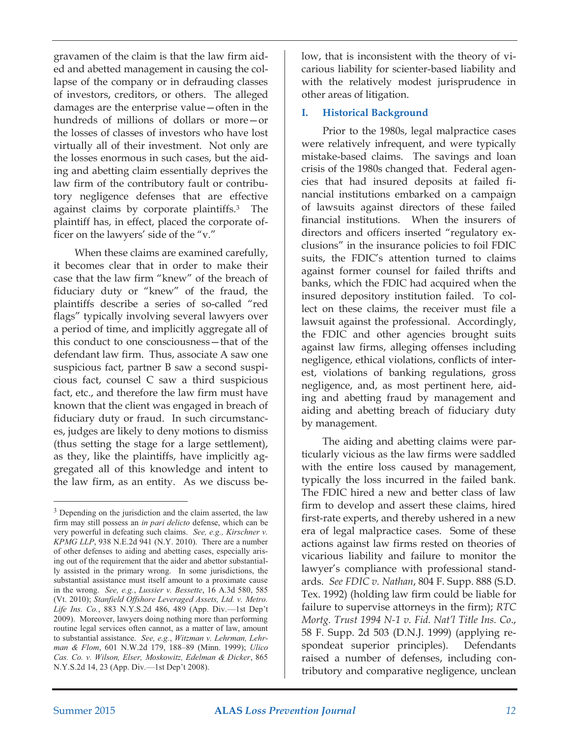gravamen of the claim is that the law firm aided and abetted management in causing the collapse of the company or in defrauding classes of investors, creditors, or others. The alleged damages are the enterprise value—often in the hundreds of millions of dollars or more—or the losses of classes of investors who have lost virtually all of their investment. Not only are the losses enormous in such cases, but the aiding and abetting claim essentially deprives the law firm of the contributory fault or contributory negligence defenses that are effective against claims by corporate plaintiffs.3 The plaintiff has, in effect, placed the corporate officer on the lawyers' side of the "v."

When these claims are examined carefully, it becomes clear that in order to make their case that the law firm "knew" of the breach of fiduciary duty or "knew" of the fraud, the plaintiffs describe a series of so-called "red flags" typically involving several lawyers over a period of time, and implicitly aggregate all of this conduct to one consciousness—that of the defendant law firm. Thus, associate A saw one suspicious fact, partner B saw a second suspicious fact, counsel C saw a third suspicious fact, etc., and therefore the law firm must have known that the client was engaged in breach of fiduciary duty or fraud. In such circumstances, judges are likely to deny motions to dismiss (thus setting the stage for a large settlement), as they, like the plaintiffs, have implicitly aggregated all of this knowledge and intent to the law firm, as an entity. As we discuss be-

<u> 1989 - Johann Barn, mars ar breithinn ar chuid ann an t-</u>

low, that is inconsistent with the theory of vicarious liability for scienter-based liability and with the relatively modest jurisprudence in other areas of litigation.

## **I. Historical Background**

Prior to the 1980s, legal malpractice cases were relatively infrequent, and were typically mistake-based claims. The savings and loan crisis of the 1980s changed that. Federal agencies that had insured deposits at failed financial institutions embarked on a campaign of lawsuits against directors of these failed financial institutions. When the insurers of directors and officers inserted "regulatory exclusions" in the insurance policies to foil FDIC suits, the FDIC's attention turned to claims against former counsel for failed thrifts and banks, which the FDIC had acquired when the insured depository institution failed. To collect on these claims, the receiver must file a lawsuit against the professional. Accordingly, the FDIC and other agencies brought suits against law firms, alleging offenses including negligence, ethical violations, conflicts of interest, violations of banking regulations, gross negligence, and, as most pertinent here, aiding and abetting fraud by management and aiding and abetting breach of fiduciary duty by management.

The aiding and abetting claims were particularly vicious as the law firms were saddled with the entire loss caused by management, typically the loss incurred in the failed bank. The FDIC hired a new and better class of law firm to develop and assert these claims, hired first-rate experts, and thereby ushered in a new era of legal malpractice cases. Some of these actions against law firms rested on theories of vicarious liability and failure to monitor the lawyer's compliance with professional standards. *See FDIC v. Nathan*, 804 F. Supp. 888 (S.D. Tex. 1992) (holding law firm could be liable for failure to supervise attorneys in the firm); *RTC Mortg. Trust 1994 N-1 v. Fid. Nat'l Title Ins. Co*., 58 F. Supp. 2d 503 (D.N.J. 1999) (applying respondeat superior principles). Defendants raised a number of defenses, including contributory and comparative negligence, unclean

<sup>&</sup>lt;sup>3</sup> Depending on the jurisdiction and the claim asserted, the law firm may still possess an in pari delicto defense, which can be very powerful in defeating such claims. See, e.g., Kirschner v. *KPMG LLP*, 938 N.E.2d 941 (N.Y. 2010). There are a number of other defenses to aiding and abetting cases, especially arising out of the requirement that the aider and abettor substantially assisted in the primary wrong. In some jurisdictions, the substantial assistance must itself amount to a proximate cause in the wrong. See, e.g., Lussier v. Bessette, 16 A.3d 580, 585 (Vt. 2010); Stanfield Offshore Leveraged Assets, Ltd. v. Metro. *Life Ins. Co.*, 883 N.Y.S.2d 486, 489 (App. Div.--1st Dep't 2009). Moreover, lawyers doing nothing more than performing routine legal services often cannot, as a matter of law, amount to substantial assistance. See, e.g., Witzman v. Lehrman, Lehrman & Flom, 601 N.W.2d 179, 188-89 (Minn. 1999); Ulico *Cas. Co. v. Wilson, Elser, Moskowitz, Edelman & Dicker, 865* N.Y.S.2d 14, 23 (App. Div.--1st Dep't 2008).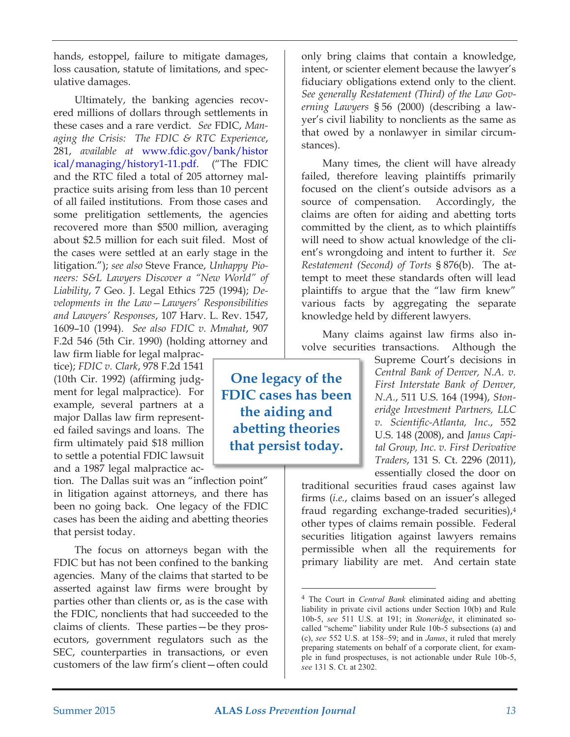hands, estoppel, failure to mitigate damages, loss causation, statute of limitations, and speculative damages.

Ultimately, the banking agencies recovered millions of dollars through settlements in these cases and a rare verdict. *See* FDIC, *Managing the Crisis: The FDIC & RTC Experience*, 281, *available at* www.fdic.gov/bank/histor [ical/managing/history1-11.pdf. \("The FDIC](http://www.fdic.gov/bank/historical/managing/history1-11.pdf)  and the RTC filed a total of 205 attorney malpractice suits arising from less than 10 percent of all failed institutions. From those cases and some prelitigation settlements, the agencies recovered more than \$500 million, averaging about \$2.5 million for each suit filed. Most of the cases were settled at an early stage in the litigation."); *see also* Steve France, *Unhappy Pioneers: S&L Lawyers Discover a "New World" of Liability*, 7 Geo. J. Legal Ethics 725 (1994); *Developments in the Law—Lawyers' Responsibilities and Lawyers' Responses*, 107 Harv. L. Rev. 1547, 1609–10 (1994). *See also FDIC v. Mmahat*, 907 F.2d 546 (5th Cir. 1990) (holding attorney and

law firm liable for legal malpractice); *FDIC v. Clark*, 978 F.2d 1541 (10th Cir. 1992) (affirming judgment for legal malpractice). For example, several partners at a major Dallas law firm represented failed savings and loans. The firm ultimately paid \$18 million to settle a potential FDIC lawsuit and a 1987 legal malpractice ac-

tion. The Dallas suit was an "inflection point" in litigation against attorneys, and there has been no going back. One legacy of the FDIC cases has been the aiding and abetting theories that persist today.

The focus on attorneys began with the FDIC but has not been confined to the banking agencies. Many of the claims that started to be asserted against law firms were brought by parties other than clients or, as is the case with the FDIC, nonclients that had succeeded to the claims of clients. These parties—be they prosecutors, government regulators such as the SEC, counterparties in transactions, or even customers of the law firm's client—often could only bring claims that contain a knowledge, intent, or scienter element because the lawyer's fiduciary obligations extend only to the client. *See generally Restatement (Third) of the Law Governing Lawyers* § 56 (2000) (describing a lawyer's civil liability to nonclients as the same as that owed by a nonlawyer in similar circumstances).

Many times, the client will have already failed, therefore leaving plaintiffs primarily focused on the client's outside advisors as a source of compensation. Accordingly, the claims are often for aiding and abetting torts committed by the client, as to which plaintiffs will need to show actual knowledge of the client's wrongdoing and intent to further it. *See Restatement (Second) of Torts* § 876(b). The attempt to meet these standards often will lead plaintiffs to argue that the "law firm knew" various facts by aggregating the separate knowledge held by different lawyers.

Many claims against law firms also involve securities transactions. Although the

**One legacy of the FDIC cases has been the aiding and abetting theories that persist today.**

Supreme Court's decisions in *Central Bank of Denver, N.A. v. First Interstate Bank of Denver, N.A.*, 511 U.S. 164 (1994), *Stoneridge Investment Partners, LLC v. Scientific-Atlanta, Inc*., 552 U.S. 148 (2008), and *Janus Capital Group, Inc. v. First Derivative Traders*, 131 S. Ct. 2296 (2011), essentially closed the door on

traditional securities fraud cases against law firms (*i.e.*, claims based on an issuer's alleged fraud regarding exchange-traded securities),4 other types of claims remain possible. Federal securities litigation against lawyers remains permissible when all the requirements for primary liability are met. And certain state

<sup>&</sup>lt;sup>4</sup> The Court in *Central Bank* eliminated aiding and abetting liability in private civil actions under Section 10(b) and Rule 10b-5, see 511 U.S. at 191; in Stoneridge, it eliminated socalled "scheme" liability under Rule 10b-5 subsections (a) and (c), see 552 U.S. at 158-59; and in *Janus*, it ruled that merely preparing statements on behalf of a corporate client, for example in fund prospectuses, is not actionable under Rule 10b-5, *see* 131 S. Ct. at 2302.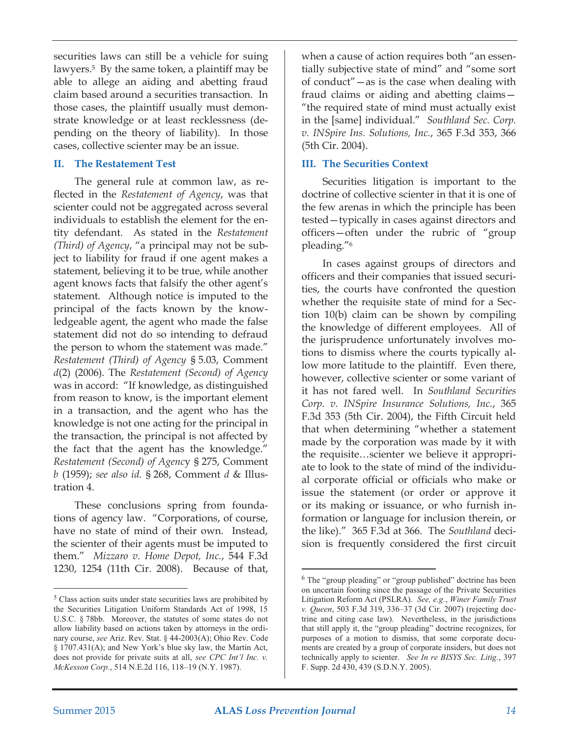securities laws can still be a vehicle for suing lawyers.5 By the same token, a plaintiff may be able to allege an aiding and abetting fraud claim based around a securities transaction. In those cases, the plaintiff usually must demonstrate knowledge or at least recklessness (depending on the theory of liability). In those cases, collective scienter may be an issue.

#### **II. The Restatement Test**

The general rule at common law, as reflected in the *Restatement of Agency*, was that scienter could not be aggregated across several individuals to establish the element for the entity defendant. As stated in the *Restatement (Third) of Agency*, "a principal may not be subject to liability for fraud if one agent makes a statement, believing it to be true, while another agent knows facts that falsify the other agent's statement. Although notice is imputed to the principal of the facts known by the knowledgeable agent, the agent who made the false statement did not do so intending to defraud the person to whom the statement was made." *Restatement (Third) of Agency* § 5.03, Comment *d*(2) (2006). The *Restatement (Second) of Agency* was in accord: "If knowledge, as distinguished from reason to know, is the important element in a transaction, and the agent who has the knowledge is not one acting for the principal in the transaction, the principal is not affected by the fact that the agent has the knowledge." *Restatement (Second) of Agenc*y § 275, Comment *b* (1959); *see also id.* § 268, Comment *d* & Illustration 4.

These conclusions spring from foundations of agency law. "Corporations, of course, have no state of mind of their own. Instead, the scienter of their agents must be imputed to them." *Mizzaro v. Home Depot, Inc.*, 544 F.3d 1230, 1254 (11th Cir. 2008). Because of that,

when a cause of action requires both "an essentially subjective state of mind" and "some sort of conduct"—as is the case when dealing with fraud claims or aiding and abetting claims— "the required state of mind must actually exist in the [same] individual." *Southland Sec. Corp. v. INSpire Ins. Solutions, Inc.*, 365 F.3d 353, 366 (5th Cir. 2004).

### **III. The Securities Context**

Securities litigation is important to the doctrine of collective scienter in that it is one of the few arenas in which the principle has been tested—typically in cases against directors and officers—often under the rubric of "group pleading."6

In cases against groups of directors and officers and their companies that issued securities, the courts have confronted the question whether the requisite state of mind for a Section 10(b) claim can be shown by compiling the knowledge of different employees. All of the jurisprudence unfortunately involves motions to dismiss where the courts typically allow more latitude to the plaintiff. Even there, however, collective scienter or some variant of it has not fared well. In *Southland Securities Corp. v. INSpire Insurance Solutions, Inc.*, 365 F.3d 353 (5th Cir. 2004), the Fifth Circuit held that when determining "whether a statement made by the corporation was made by it with the requisite…scienter we believe it appropriate to look to the state of mind of the individual corporate official or officials who make or issue the statement (or order or approve it or its making or issuance, or who furnish information or language for inclusion therein, or the like)." 365 F.3d at 366. The *Southland* decision is frequently considered the first circuit

 $<sup>5</sup>$  Class action suits under state securities laws are prohibited by</sup> the Securities Litigation Uniform Standards Act of 1998, 15 U.S.C. § 78bb. Moreover, the statutes of some states do not allow liability based on actions taken by attorneys in the ordinary course, see Ariz. Rev. Stat. § 44-2003(A); Ohio Rev. Code  $\S$  1707.431(A); and New York's blue sky law, the Martin Act, does not provide for private suits at all, see CPC Int'l Inc. v. *McKesson Corp.*, 514 N.E.2d 116, 118-19 (N.Y. 1987).

 $6$  The "group pleading" or "group published" doctrine has been on uncertain footing since the passage of the Private Securities Litigation Reform Act (PSLRA). See, e.g., Winer Family Trust *v. Queen*, 503 F.3d 319, 336-37 (3d Cir. 2007) (rejecting doctrine and citing case law). Nevertheless, in the jurisdictions that still apply it, the "group pleading" doctrine recognizes, for purposes of a motion to dismiss, that some corporate documents are created by a group of corporate insiders, but does not technically apply to scienter. See In re BISYS Sec. Litig., 397 F. Supp. 2d 430, 439 (S.D.N.Y. 2005).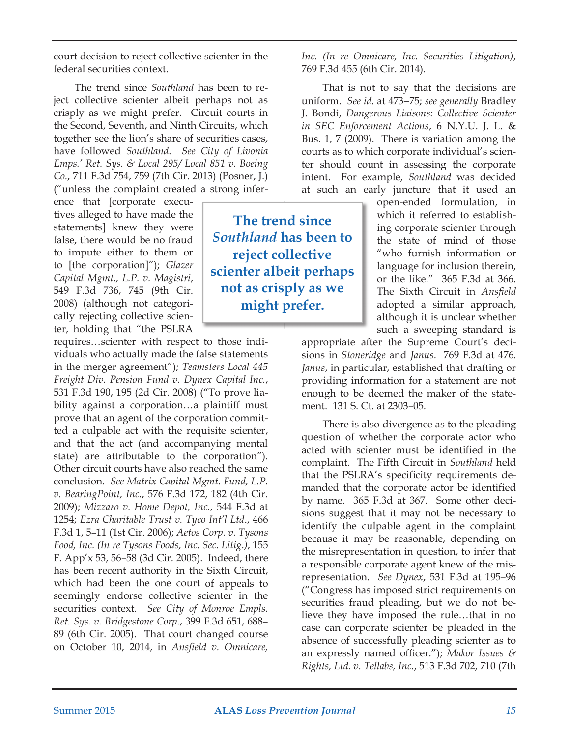court decision to reject collective scienter in the federal securities context.

The trend since *Southland* has been to reject collective scienter albeit perhaps not as crisply as we might prefer. Circuit courts in the Second, Seventh, and Ninth Circuits, which together see the lion's share of securities cases, have followed *Southland*. *See City of Livonia Emps.' Ret. Sys. & Local 295/ Local 851 v. Boeing Co.*, 711 F.3d 754, 759 (7th Cir. 2013) (Posner, J.) ("unless the complaint created a strong infer-

ence that [corporate executives alleged to have made the statements] knew they were false, there would be no fraud to impute either to them or to [the corporation]"); *Glazer Capital Mgmt., L.P. v. Magistri*, 549 F.3d 736, 745 (9th Cir. 2008) (although not categorically rejecting collective scienter, holding that "the PSLRA

requires…scienter with respect to those individuals who actually made the false statements in the merger agreement"); *Teamsters Local 445 Freight Div. Pension Fund v. Dynex Capital Inc.*, 531 F.3d 190, 195 (2d Cir. 2008) ("To prove liability against a corporation…a plaintiff must prove that an agent of the corporation committed a culpable act with the requisite scienter, and that the act (and accompanying mental state) are attributable to the corporation"). Other circuit courts have also reached the same conclusion. *See Matrix Capital Mgmt. Fund, L.P. v. BearingPoint, Inc.*, 576 F.3d 172, 182 (4th Cir. 2009); *Mizzaro v. Home Depot, Inc.*, 544 F.3d at 1254; *Ezra Charitable Trust v. Tyco Int'l Ltd*., 466 F.3d 1, 5–11 (1st Cir. 2006); *Aetos Corp. v. Tysons Food, Inc. (In re Tysons Foods, Inc. Sec. Litig*.*)*, 155 F. App'x 53, 56–58 (3d Cir. 2005). Indeed, there has been recent authority in the Sixth Circuit, which had been the one court of appeals to seemingly endorse collective scienter in the securities context. *See City of Monroe Empls. Ret. Sys. v. Bridgestone Corp*., 399 F.3d 651, 688– 89 (6th Cir. 2005). That court changed course on October 10, 2014, in *Ansfield v. Omnicare,*

*Inc. (In re Omnicare, Inc. Securities Litigation)*, 769 F.3d 455 (6th Cir. 2014).

That is not to say that the decisions are uniform. *See id.* at 473–75; see generally Bradley J. Bondi, *Dangerous Liaisons: Collective Scienter in SEC Enforcement Actions*, 6 N.Y.U. J. L. & Bus. 1, 7 (2009). There is variation among the courts as to which corporate individual's scienter should count in assessing the corporate intent. For example, *Southland* was decided at such an early juncture that it used an

> open-ended formulation, in which it referred to establishing corporate scienter through the state of mind of those "who furnish information or language for inclusion therein, or the like." 365 F.3d at 366. The Sixth Circuit in *Ansfield* adopted a similar approach, although it is unclear whether such a sweeping standard is

appropriate after the Supreme Court's decisions in *Stoneridge* and *Janus*. 769 F.3d at 476. *Janus*, in particular, established that drafting or providing information for a statement are not enough to be deemed the maker of the statement. 131 S. Ct. at 2303–05.

There is also divergence as to the pleading question of whether the corporate actor who acted with scienter must be identified in the complaint. The Fifth Circuit in *Southland* held that the PSLRA's specificity requirements demanded that the corporate actor be identified by name. 365 F.3d at 367. Some other decisions suggest that it may not be necessary to identify the culpable agent in the complaint because it may be reasonable, depending on the misrepresentation in question, to infer that a responsible corporate agent knew of the misrepresentation. *See Dynex*, 531 F.3d at 195–96 ("Congress has imposed strict requirements on securities fraud pleading, but we do not believe they have imposed the rule…that in no case can corporate scienter be pleaded in the absence of successfully pleading scienter as to an expressly named officer."); *Makor Issues & Rights, Ltd. v. Tellabs, Inc.*, 513 F.3d 702, 710 (7th

**The trend since** *Southland* **has been to reject collective scienter albeit perhaps not as crisply as we might prefer.**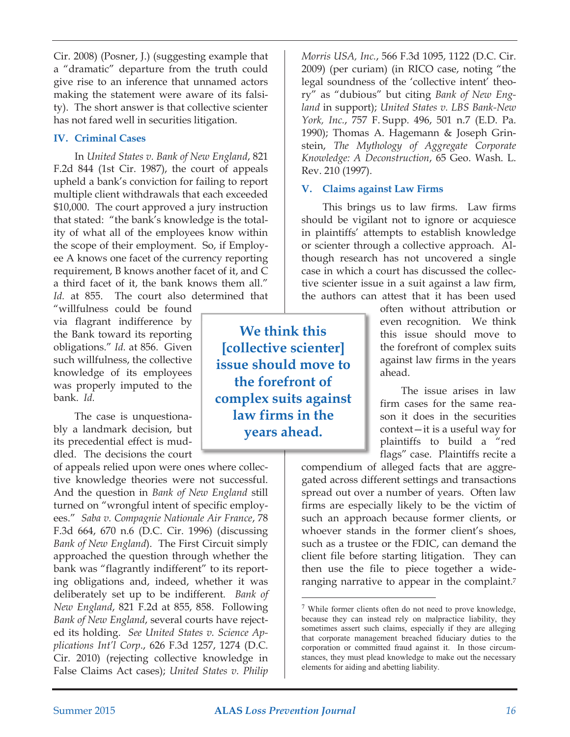Cir. 2008) (Posner, J.) (suggesting example that a "dramatic" departure from the truth could give rise to an inference that unnamed actors making the statement were aware of its falsity). The short answer is that collective scienter has not fared well in securities litigation.

### **IV. Criminal Cases**

In *United States v. Bank of New England*, 821 F.2d 844 (1st Cir. 1987), the court of appeals upheld a bank's conviction for failing to report multiple client withdrawals that each exceeded \$10,000. The court approved a jury instruction that stated: "the bank's knowledge is the totality of what all of the employees know within the scope of their employment. So, if Employee A knows one facet of the currency reporting requirement, B knows another facet of it, and C a third facet of it, the bank knows them all." *Id.* at 855. The court also determined that

"willfulness could be found via flagrant indifference by the Bank toward its reporting obligations." *Id.* at 856. Given such willfulness, the collective knowledge of its employees was properly imputed to the bank. *Id.*

The case is unquestionably a landmark decision, but its precedential effect is muddled. The decisions the court

of appeals relied upon were ones where collective knowledge theories were not successful. And the question in *Bank of New England* still turned on "wrongful intent of specific employees." *Saba v. Compagnie Nationale Air France*, 78 F.3d 664, 670 n.6 (D.C. Cir. 1996) (discussing *Bank of New England*). The First Circuit simply approached the question through whether the bank was "flagrantly indifferent" to its reporting obligations and, indeed, whether it was deliberately set up to be indifferent. *Bank of New England*, 821 F.2d at 855, 858. Following *Bank of New England*, several courts have rejected its holding. *See United States v. Science Applications Int'l Corp*., 626 F.3d 1257, 1274 (D.C. Cir. 2010) (rejecting collective knowledge in False Claims Act cases); *United States v. Philip*

*Morris USA, Inc.*, 566 F.3d 1095, 1122 (D.C. Cir. 2009) (per curiam) (in RICO case, noting "the legal soundness of the 'collective intent' theory" as "dubious" but citing *Bank of New England* in support); *United States v. LBS Bank-New York, Inc.*, 757 F. Supp. 496, 501 n.7 (E.D. Pa. 1990); Thomas A. Hagemann & Joseph Grinstein, *The Mythology of Aggregate Corporate Knowledge: A Deconstruction*, 65 Geo. Wash. L. Rev. 210 (1997).

## **V. Claims against Law Firms**

This brings us to law firms. Law firms should be vigilant not to ignore or acquiesce in plaintiffs' attempts to establish knowledge or scienter through a collective approach. Although research has not uncovered a single case in which a court has discussed the collective scienter issue in a suit against a law firm, the authors can attest that it has been used

> often without attribution or even recognition. We think this issue should move to the forefront of complex suits against law firms in the years ahead.

> The issue arises in law firm cases for the same reason it does in the securities context—it is a useful way for plaintiffs to build a "red flags" case. Plaintiffs recite a

compendium of alleged facts that are aggregated across different settings and transactions spread out over a number of years. Often law firms are especially likely to be the victim of such an approach because former clients, or whoever stands in the former client's shoes, such as a trustee or the FDIC, can demand the client file before starting litigation. They can then use the file to piece together a wideranging narrative to appear in the complaint.<sup>7</sup>

<u> 1989 - Johann Barn, mars ar breithinn ar chuid ann an t-</u>

**We think this [collective scienter] issue should move to the forefront of complex suits against law firms in the years ahead.**

 $\frac{7}{1}$  While former clients often do not need to prove knowledge, because they can instead rely on malpractice liability, they sometimes assert such claims, especially if they are alleging that corporate management breached fiduciary duties to the corporation or committed fraud against it. In those circumstances, they must plead knowledge to make out the necessary elements for aiding and abetting liability.